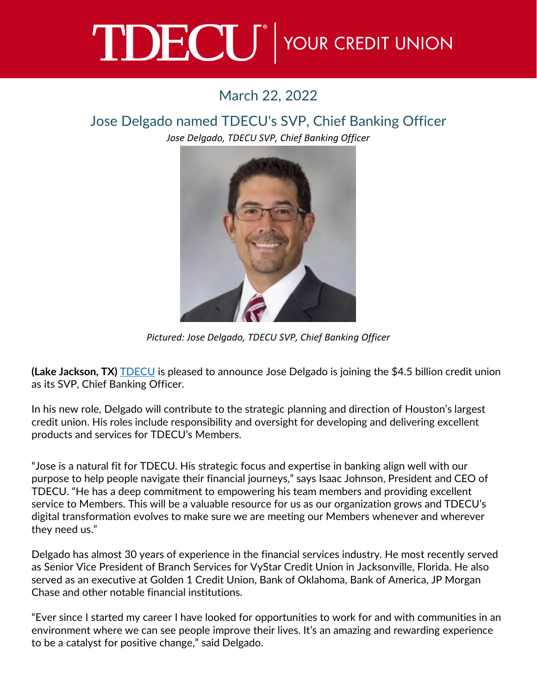## TDECU<sup>®</sup> YOUR CREDIT UNION

## March 22, 2022

## Jose Delgado named TDECU's SVP, Chief Banking Officer

*Jose Delgado, TDECU SVP, Chief Banking Officer*



*Pictured: Jose Delgado, TDECU SVP, Chief Banking Officer*

**(Lake Jackson, TX)** [TDECU](https://www.tdecu.org/) is pleased to announce Jose Delgado is joining the \$4.5 billion credit union as its SVP, Chief Banking Officer.

In his new role, Delgado will contribute to the strategic planning and direction of Houston's largest credit union. His roles include responsibility and oversight for developing and delivering excellent products and services for TDECU's Members.

"Jose is a natural fit for TDECU. His strategic focus and expertise in banking align well with our purpose to help people navigate their financial journeys," says Isaac Johnson, President and CEO of TDECU. "He has a deep commitment to empowering his team members and providing excellent service to Members. This will be a valuable resource for us as our organization grows and TDECU's digital transformation evolves to make sure we are meeting our Members whenever and wherever they need us."

Delgado has almost 30 years of experience in the financial services industry. He most recently served as Senior Vice President of Branch Services for VyStar Credit Union in Jacksonville, Florida. He also served as an executive at Golden 1 Credit Union, Bank of Oklahoma, Bank of America, JP Morgan Chase and other notable financial institutions.

"Ever since I started my career I have looked for opportunities to work for and with communities in an environment where we can see people improve their lives. It's an amazing and rewarding experience to be a catalyst for positive change," said Delgado.